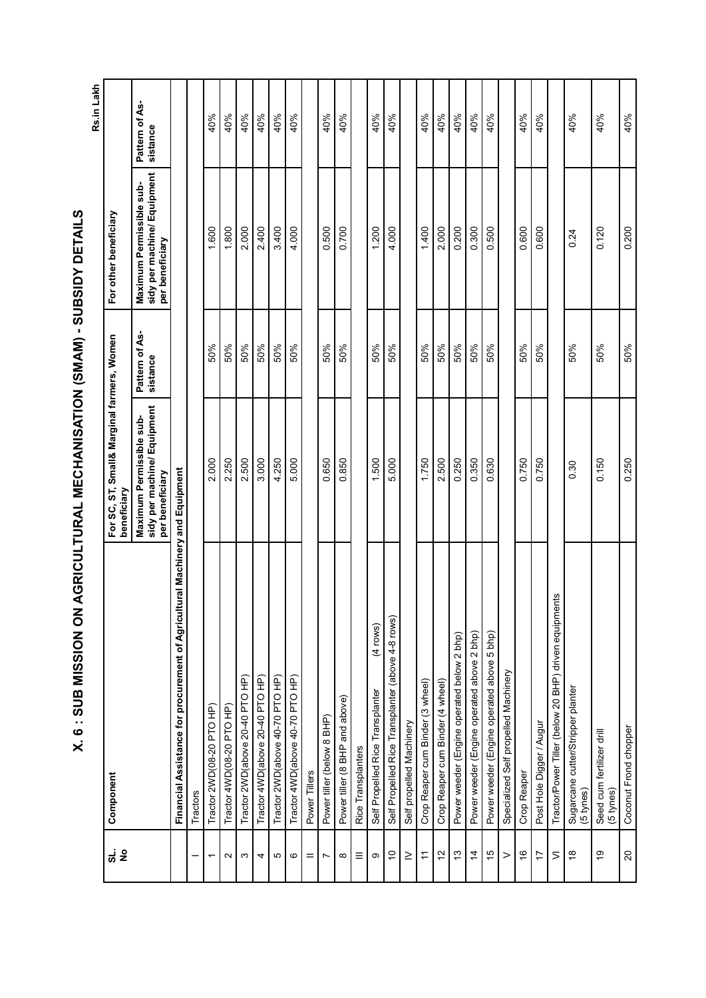|                |                                                                              |                                                                            |                            |                                                                            | Rs.in Lakh                 |
|----------------|------------------------------------------------------------------------------|----------------------------------------------------------------------------|----------------------------|----------------------------------------------------------------------------|----------------------------|
| <u>ដូ</u> ទី   | Component                                                                    | For SC, ST, Small& Marginal farmers, Women<br>beneficiary                  |                            | For other beneficiary                                                      |                            |
|                |                                                                              | sidy per machine/ Equipment<br>Maximum Permissible sub-<br>per beneficiary | Pattern of As-<br>sistance | sidy per machine/ Equipment<br>Maximum Permissible sub-<br>per beneficiary | Pattern of As-<br>sistance |
|                | Financial Assistance for procurement of Agricultural Machinery and Equipment |                                                                            |                            |                                                                            |                            |
|                | Tractors                                                                     |                                                                            |                            |                                                                            |                            |
| ٣              | Tractor 2WD(08-20 PTO HP)                                                    | 2.000                                                                      | 50%                        | 1.600                                                                      | 40%                        |
| $\sim$         | Tractor 4WD(08-20 PTO HP)                                                    | 2.250                                                                      | 50%                        | 1.800                                                                      | 40%                        |
| S              | Tractor 2WD(above 20-40 PTO HP)                                              | 2.500                                                                      | 50%                        | 2.000                                                                      | 40%                        |
| 4              | Tractor 4WD(above 20-40 PTO HP)                                              | 3.000                                                                      | 50%                        | 2.400                                                                      | 40%                        |
| Ю              | Tractor 2WD(above 40-70 PTO HP)                                              | 4.250                                                                      | 50%                        | 3.400                                                                      | 40%                        |
| ဖ              | Tractor 4WD(above 40-70 PTO HP)                                              | 5.000                                                                      | 50%                        | 4.000                                                                      | 40%                        |
| =              | Power Tillers                                                                |                                                                            |                            |                                                                            |                            |
| N              | Power tiller (below 8 BHP)                                                   | 0.650                                                                      | 50%                        | 0.500                                                                      | 40%                        |
| $\infty$       | Power tiller (8 BHP and above)                                               | 0.850                                                                      | 50%                        | 0.700                                                                      | 40%                        |
| Ξ              | Rice Transplanters                                                           |                                                                            |                            |                                                                            |                            |
| တ              | $(4$ rows)<br>Self Propelled Rice Transplanter                               | 1.500                                                                      | 50%                        | 1.200                                                                      | 40%                        |
| $\tilde{c}$    | Self Propelled Rice Transplanter (above 4-8 rows)                            | 5.000                                                                      | 50%                        | 4.000                                                                      | 40%                        |
| $\geq$         | Self propelled Machinery                                                     |                                                                            |                            |                                                                            |                            |
| $\overline{r}$ | Crop Reaper cum Binder (3 wheel)                                             | 1.750                                                                      | 50%                        | 1.400                                                                      | 40%                        |
| $\tilde{c}$    | Crop Reaper cum Binder (4 wheel)                                             | 2.500                                                                      | 50%                        | 2.000                                                                      | 40%                        |
| $\frac{3}{2}$  | Power weeder (Engine operated below 2 bhp)                                   | 0.250                                                                      | 50%                        | 0.200                                                                      | 40%                        |
| $\overline{4}$ | Power weeder (Engine operated above 2 bhp)                                   | 0.350                                                                      | 50%                        | 0.300                                                                      | 40%                        |
| 15             | Power weeder (Engine operated above 5 bhp)                                   | 0.630                                                                      | 50%                        | 0.500                                                                      | 40%                        |
| $\rm{~}$       | Specialized Self propelled Machinery                                         |                                                                            |                            |                                                                            |                            |
| $\frac{6}{5}$  | Crop Reaper                                                                  | 0.750                                                                      | 50%                        | 0.600                                                                      | 40%                        |
| 17             | Post Hole Digger / Augur                                                     | 0.750                                                                      | 50%                        | 0.600                                                                      | 40%                        |
| $\geq$         | Tractor/Power Tiller (below 20 BHP) driven equipments                        |                                                                            |                            |                                                                            |                            |
| $\frac{8}{1}$  | Sugarcane cutter/Stripper planter<br>(5 tynes)                               | 0.30                                                                       | 50%                        | 0.24                                                                       | 40%                        |
| စ္             | Seed cum fertilizer drill<br>(5 tynes)                                       | 0.150                                                                      | 50%                        | 0.120                                                                      | 40%                        |
| 20             | Coconut Frond chopper                                                        | 0.250                                                                      | 50%                        | 0.200                                                                      | 40%                        |

مارات السنة محال<br>مارات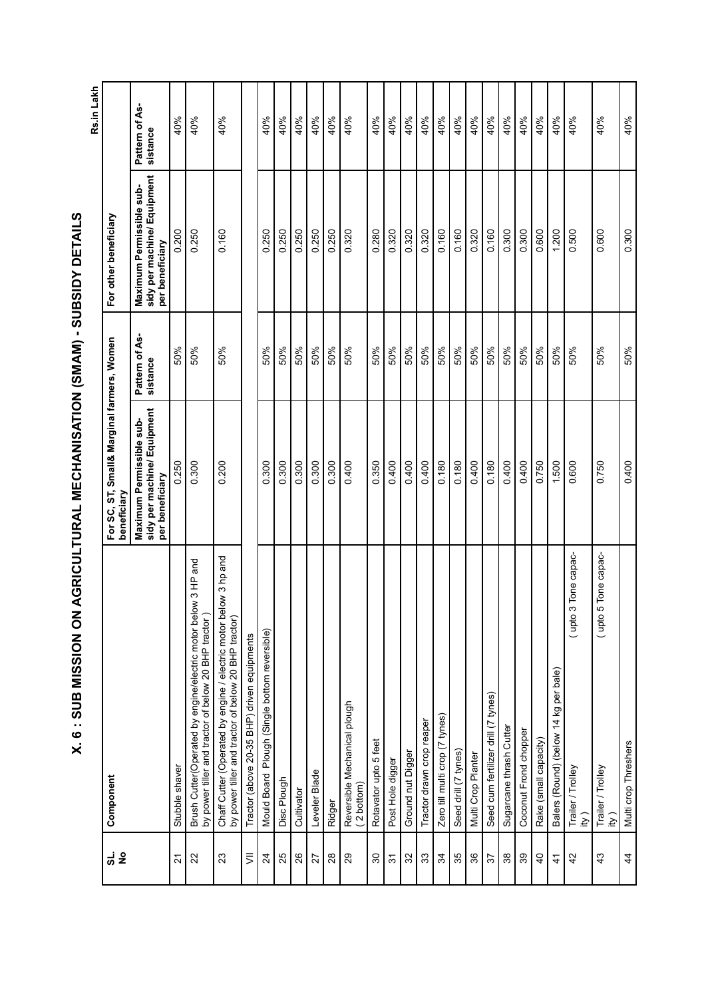Rs.in Lakh **Rs.in Lakh**

| <u>ನ</u> ಕೆ      | Component                                                                                                                |                        | For SC, ST, Small& Marginal farmers, Women<br>beneficiary                  |                            | For other beneficiary                                                      |                            |
|------------------|--------------------------------------------------------------------------------------------------------------------------|------------------------|----------------------------------------------------------------------------|----------------------------|----------------------------------------------------------------------------|----------------------------|
|                  |                                                                                                                          |                        | sidy per machine/ Equipment<br>Maximum Permissible sub-<br>per beneficiary | Pattern of As-<br>sistance | sidy per machine/ Equipment<br>Maximum Permissible sub-<br>per beneficiary | Pattern of As-<br>sistance |
| $\tilde{\Omega}$ | Stubble shaver                                                                                                           |                        | 0.250                                                                      | 50%                        | 0.200                                                                      | 40%                        |
| 22               | Brush Cutter(Operated by engine/electric motor below<br>by power tiller and tractor of below 20 BHP tractor)             | 3 HP and               | 0.300                                                                      | 50%                        | 0.250                                                                      | 40%                        |
| 23               | Chaff Cutter (Operated by engine / electric motor below 3 hp and<br>by power tiller and tractor of below 20 BHP tractor) |                        | 0.200                                                                      | 50%                        | 0.160                                                                      | 40%                        |
| $\equiv$         | Tractor (above 20-35 BHP) driven equipments                                                                              |                        |                                                                            |                            |                                                                            |                            |
| $\frac{24}{5}$   | Plough (Single bottom reversible)<br><b>Mould Board</b>                                                                  |                        | 0.300                                                                      | 50%                        | 0.250                                                                      | 40%                        |
| 25               | Disc Plough                                                                                                              |                        | 0.300                                                                      | 50%                        | 0.250                                                                      | 40%                        |
| 26               | Cultivator                                                                                                               |                        | 0.300                                                                      | 50%                        | 0.250                                                                      | 40%                        |
| 27               | Leveler Blade                                                                                                            |                        | 0.300                                                                      | 50%                        | 0.250                                                                      | 40%                        |
| $28$             | Ridger                                                                                                                   |                        | 0.300                                                                      | 50%                        | 0.250                                                                      | 40%                        |
| 29               | Reversible Mechanical plough<br>(2 bottom)                                                                               |                        | 0.400                                                                      | 50%                        | 0.320                                                                      | 40%                        |
| 30               | Rotavator upto 5 feet                                                                                                    |                        | 0.350                                                                      | 50%                        | 0.280                                                                      | 40%                        |
| $\frac{2}{3}$    | Post Hole digger                                                                                                         |                        | 0.400                                                                      | 50%                        | 0.320                                                                      | 40%                        |
| 32               | Ground nut Digger                                                                                                        |                        | 0.400                                                                      | 50%                        | 0.320                                                                      | 40%                        |
| 33               | Tractor drawn crop reaper                                                                                                |                        | 0.400                                                                      | 50%                        | 0.320                                                                      | 40%                        |
| $\mathfrak{F}$   | Zero till multi crop (7 tynes)                                                                                           |                        | 0.180                                                                      | 50%                        | 0.160                                                                      | 40%                        |
| 35               | Seed drill (7 tynes)                                                                                                     |                        | 0.180                                                                      | 50%                        | 0.160                                                                      | 40%                        |
| 36               | Multi Crop Planter                                                                                                       |                        | 0.400                                                                      | 50%                        | 0.320                                                                      | 40%                        |
| 57               | Seed cum fertilizer drill (7 tynes)                                                                                      |                        | 0.180                                                                      | 50%                        | 0.160                                                                      | 40%                        |
| $38\,$           | Sugarcane thrash Cutter                                                                                                  |                        | 0.400                                                                      | 50%                        | 0.300                                                                      | 40%                        |
| $39\,$           | Coconut Frond chopper                                                                                                    |                        | 0.400                                                                      | 50%                        | 0.300                                                                      | 40%                        |
| $\overline{4}$   | Rake (small capacity)                                                                                                    |                        | 0.750                                                                      | 50%                        | 0.600                                                                      | 40%                        |
| $\ddot{4}$       | Balers (Round) (below 14 kg per bale)                                                                                    |                        | 1.500                                                                      | 50%                        | 1.200                                                                      | 40%                        |
| 42               | Trailer / Trolley<br>$\overline{y}$                                                                                      | Tone capac-<br>(upto 3 | 0.600                                                                      | 50%                        | 0.500                                                                      | 40%                        |
| 43               | Trailer / Trolley<br>ity)                                                                                                | Tone capac-<br>(upto 5 | 0.750                                                                      | 50%                        | 0.600                                                                      | 40%                        |
| $\overline{4}$   | Multi crop Threshers                                                                                                     |                        | 0.400                                                                      | 50%                        | 0.300                                                                      | 40%                        |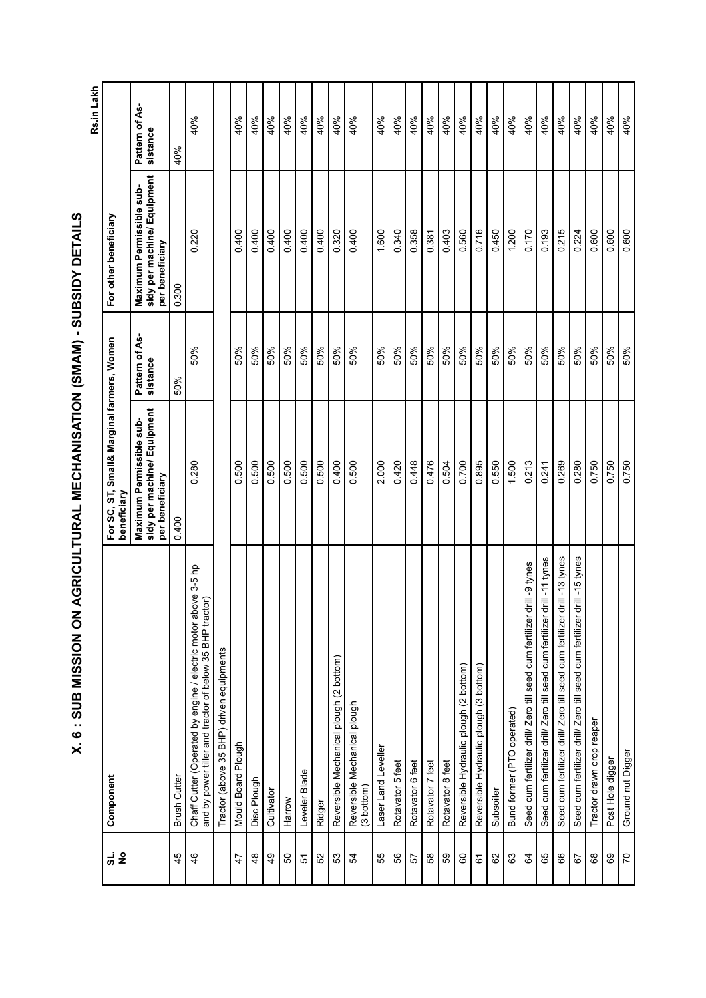Rs.in Lakh **Rs.in Lakh**

| <u>ನ</u> ಕೆ     | Component                                                                                                                  | For SC, ST, Small& Marginal farmers, Women<br>beneficiary                  |                            | For other beneficiary                                                      |                            |
|-----------------|----------------------------------------------------------------------------------------------------------------------------|----------------------------------------------------------------------------|----------------------------|----------------------------------------------------------------------------|----------------------------|
|                 |                                                                                                                            | sidy per machine/ Equipment<br>Maximum Permissible sub-<br>per beneficiary | Pattern of As-<br>sistance | sidy per machine/ Equipment<br>Maximum Permissible sub-<br>per beneficiary | Pattern of As-<br>sistance |
| 45              | <b>Brush Cutter</b>                                                                                                        | 0.400                                                                      | 50%                        | 0.300                                                                      | 40%                        |
| 46              | Chaff Cutter (Operated by engine / electric motor above 3-5 hp<br>and by power tiller and tractor of below 35 BHP tractor) | 0.280                                                                      | 50%                        | 0.220                                                                      | 40%                        |
|                 | Tractor (above 35 BHP) driven equipments                                                                                   |                                                                            |                            |                                                                            |                            |
| $\ddot{4}$      | Mould Board Plough                                                                                                         | 0.500                                                                      | 50%                        | 0.400                                                                      | 40%                        |
| 48              | Disc Plough                                                                                                                | 0.500                                                                      | 50%                        | 0.400                                                                      | 40%                        |
| $\frac{6}{7}$   | Cultivator                                                                                                                 | 0.500                                                                      | 50%                        | 0.400                                                                      | 40%                        |
| 50              | Harrow                                                                                                                     | 0.500                                                                      | 50%                        | 0.400                                                                      | 40%                        |
| 5               | Leveler Blade                                                                                                              | 0.500                                                                      | 50%                        | 0.400                                                                      | 40%                        |
| 52              | Ridger                                                                                                                     | 0.500                                                                      | 50%                        | 0.400                                                                      | 40%                        |
| 53              | Reversible Mechanical plough (2 bottom)                                                                                    | 0.400                                                                      | 50%                        | 0.320                                                                      | 40%                        |
| 54              | Reversible Mechanical plough<br>(3 bottom)                                                                                 | 0.500                                                                      | 50%                        | 0.400                                                                      | 40%                        |
| 55              | Laser Land Leveller                                                                                                        | 2.000                                                                      | 50%                        | 1.600                                                                      | 40%                        |
| 56              | Rotavator 5 feet                                                                                                           | 0.420                                                                      | 50%                        | 0.340                                                                      | 40%                        |
| 57              | Rotavator 6 feet                                                                                                           | 0.448                                                                      | 50%                        | 0.358                                                                      | 40%                        |
| $58\,$          | Rotavator 7 feet                                                                                                           | 0.476                                                                      | 50%                        | 0.381                                                                      | 40%                        |
| 59              | Rotavator 8 feet                                                                                                           | 0.504                                                                      | 50%                        | 0.403                                                                      | 40%                        |
| 60              | Reversible Hydraulic plough (2 bottom)                                                                                     | 0.700                                                                      | 50%                        | 0.560                                                                      | 40%                        |
| 67              | Reversible Hydraulic plough (3 bottom)                                                                                     | 0.895                                                                      | 50%                        | 0.716                                                                      | 40%                        |
| 82              | Subsoiler                                                                                                                  | 0.550                                                                      | 50%                        | 0.450                                                                      | 40%                        |
| 63              | Bund former (PTO operated)                                                                                                 | 1.500                                                                      | 50%                        | 1.200                                                                      | 40%                        |
| $\mathfrak{g}$  | rill -9 tynes<br>Seed cum fertilizer drill/ Zero till seed cum fertilizer d                                                | 0.213                                                                      | 50%                        | 0.170                                                                      | 40%                        |
| 65              | Seed cum fertilizer drill/ Zero till seed cum fertilizer drill -11 tynes                                                   | 0.241                                                                      | 50%                        | 0.193                                                                      | 40%                        |
| 88              | Seed cum fertilizer drill/ Zero till seed cum fertilizer drill -13 tynes                                                   | 0.269                                                                      | 50%                        | 0.215                                                                      | 40%                        |
| 67              | Seed cum fertilizer drill/ Zero till seed cum fertilizer drill -15 tynes                                                   | 0.280                                                                      | 50%                        | 0.224                                                                      | 40%                        |
| 68              | Tractor drawn crop reaper                                                                                                  | 0.750                                                                      | 50%                        | 0.600                                                                      | 40%                        |
| 69              | Post Hole digger                                                                                                           | 0.750                                                                      | 50%                        | 0.600                                                                      | 40%                        |
| $\overline{70}$ | Ground nut Digger                                                                                                          | 0.750                                                                      | 50%                        | 0.600                                                                      | 40%                        |